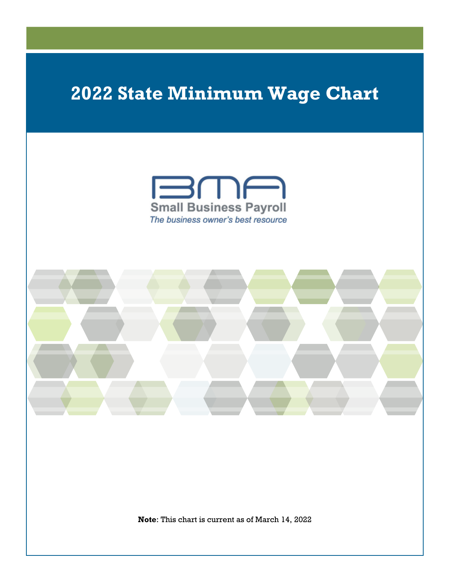

**Note**: This chart is current as of March 14, 2022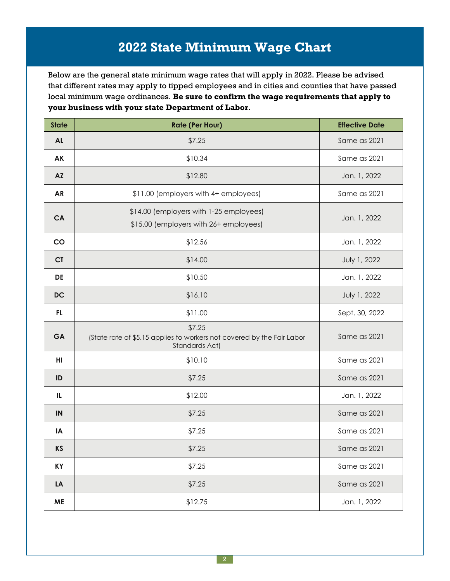Below are the general state minimum wage rates that will apply in 2022. Please be advised that different rates may apply to tipped employees and in cities and counties that have passed local minimum wage ordinances. **Be sure to confirm the wage requirements that apply to your business with your state Department of Labor**.

| <b>State</b> | <b>Rate (Per Hour)</b>                                                                             | <b>Effective Date</b> |
|--------------|----------------------------------------------------------------------------------------------------|-----------------------|
| <b>AL</b>    | \$7.25                                                                                             | Same as 2021          |
| AK           | \$10.34                                                                                            | Same as 2021          |
| <b>AZ</b>    | \$12.80                                                                                            | Jan. 1, 2022          |
| <b>AR</b>    | \$11.00 (employers with 4+ employees)                                                              | Same as 2021          |
| CA           | \$14.00 (employers with 1-25 employees)<br>\$15.00 (employers with 26+ employees)                  | Jan. 1, 2022          |
| CO           | \$12.56                                                                                            | Jan. 1, 2022          |
| <b>CT</b>    | \$14.00                                                                                            | July 1, 2022          |
| DE           | \$10.50                                                                                            | Jan. 1, 2022          |
| <b>DC</b>    | \$16.10                                                                                            | July 1, 2022          |
| FL           | \$11.00                                                                                            | Sept. 30, 2022        |
| GA           | \$7.25<br>(State rate of \$5.15 applies to workers not covered by the Fair Labor<br>Standards Act) | Same as 2021          |
| HI           | \$10.10                                                                                            | Same as 2021          |
| ID           | \$7.25                                                                                             | Same as 2021          |
| IL           | \$12.00                                                                                            | Jan. 1, 2022          |
| IN           | \$7.25                                                                                             | Same as 2021          |
| IA           | \$7.25                                                                                             | Same as 2021          |
| <b>KS</b>    | \$7.25                                                                                             | Same as 2021          |
| <b>KY</b>    | \$7.25                                                                                             | Same as 2021          |
| LA           | \$7.25                                                                                             | Same as 2021          |
| <b>ME</b>    | \$12.75                                                                                            | Jan. 1, 2022          |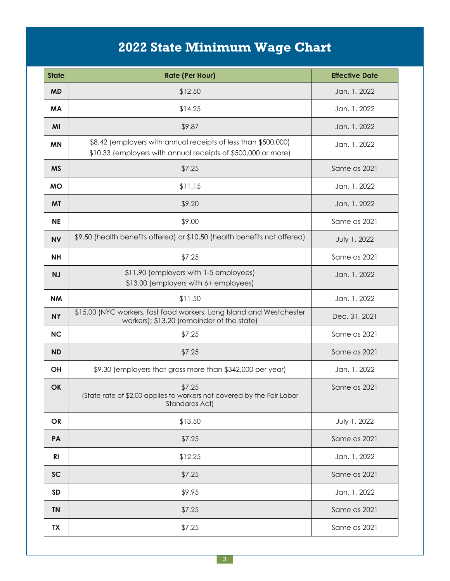| <b>State</b> | <b>Rate (Per Hour)</b>                                                                                                          | <b>Effective Date</b> |
|--------------|---------------------------------------------------------------------------------------------------------------------------------|-----------------------|
| <b>MD</b>    | \$12.50                                                                                                                         | Jan. 1, 2022          |
| <b>MA</b>    | \$14.25                                                                                                                         | Jan. 1, 2022          |
| MI           | \$9.87                                                                                                                          | Jan. 1, 2022          |
| <b>MN</b>    | \$8.42 (employers with annual receipts of less than \$500,000)<br>\$10.33 (employers with annual receipts of \$500,000 or more) | Jan. 1, 2022          |
| <b>MS</b>    | \$7.25                                                                                                                          | Same as 2021          |
| <b>MO</b>    | \$11.15                                                                                                                         | Jan. 1, 2022          |
| <b>MT</b>    | \$9.20                                                                                                                          | Jan. 1, 2022          |
| <b>NE</b>    | \$9.00                                                                                                                          | Same as 2021          |
| <b>NV</b>    | \$9.50 (health benefits offered) or \$10.50 (health benefits not offered)                                                       | July 1, 2022          |
| <b>NH</b>    | \$7.25                                                                                                                          | Same as 2021          |
| <b>NJ</b>    | \$11.90 (employers with 1-5 employees)<br>\$13.00 (employers with 6+ employees)                                                 | Jan. 1, 2022          |
| <b>NM</b>    | \$11.50                                                                                                                         | Jan. 1, 2022          |
| <b>NY</b>    | \$15.00 (NYC workers, fast food workers, Long Island and Westchester<br>workers); \$13.20 (remainder of the state)              | Dec. 31, 2021         |
| <b>NC</b>    | \$7.25                                                                                                                          | Same as 2021          |
| <b>ND</b>    | \$7.25                                                                                                                          | Same as 2021          |
| <b>OH</b>    | \$9.30 (employers that gross more than \$342,000 per year)                                                                      | Jan. 1, 2022          |
| <b>OK</b>    | \$7.25<br>(State rate of \$2.00 applies to workers not covered by the Fair Labor<br>Standards Act)                              | Same as 2021          |
| OR           | \$13.50                                                                                                                         | July 1, 2022          |
| PA           | \$7.25                                                                                                                          | Same as 2021          |
| <b>RI</b>    | \$12.25                                                                                                                         | Jan. 1, 2022          |
| <b>SC</b>    | \$7.25                                                                                                                          | Same as 2021          |
| <b>SD</b>    | \$9.95                                                                                                                          | Jan. 1, 2022          |
| <b>TN</b>    | \$7.25                                                                                                                          | Same as 2021          |
| <b>TX</b>    | \$7.25                                                                                                                          | Same as 2021          |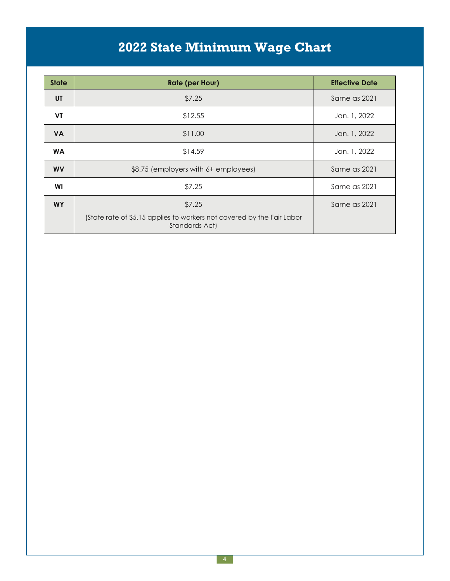| <b>State</b> | <b>Rate (per Hour)</b>                                                                   | <b>Effective Date</b> |
|--------------|------------------------------------------------------------------------------------------|-----------------------|
| UT           | \$7.25                                                                                   | Same as 2021          |
| <b>VT</b>    | \$12.55                                                                                  | Jan. 1, 2022          |
| <b>VA</b>    | \$11.00                                                                                  | Jan. 1, 2022          |
| <b>WA</b>    | \$14.59                                                                                  | Jan. 1, 2022          |
| <b>WV</b>    | \$8.75 (employers with 6+ employees)                                                     | Same as 2021          |
| WI           | \$7.25                                                                                   | Same as 2021          |
| <b>WY</b>    | \$7.25                                                                                   | Same as 2021          |
|              | (State rate of \$5.15 applies to workers not covered by the Fair Labor<br>Standards Act) |                       |